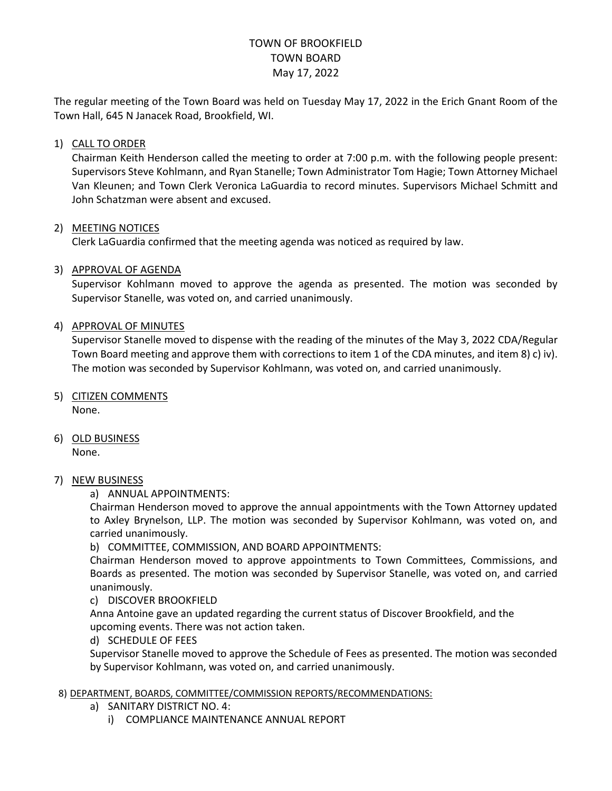# TOWN OF BROOKFIELD TOWN BOARD May 17, 2022

The regular meeting of the Town Board was held on Tuesday May 17, 2022 in the Erich Gnant Room of the Town Hall, 645 N Janacek Road, Brookfield, WI.

## 1) CALL TO ORDER

Chairman Keith Henderson called the meeting to order at 7:00 p.m. with the following people present: Supervisors Steve Kohlmann, and Ryan Stanelle; Town Administrator Tom Hagie; Town Attorney Michael Van Kleunen; and Town Clerk Veronica LaGuardia to record minutes. Supervisors Michael Schmitt and John Schatzman were absent and excused.

### 2) MEETING NOTICES

Clerk LaGuardia confirmed that the meeting agenda was noticed as required by law.

### 3) APPROVAL OF AGENDA

Supervisor Kohlmann moved to approve the agenda as presented. The motion was seconded by Supervisor Stanelle, was voted on, and carried unanimously.

### 4) APPROVAL OF MINUTES

Supervisor Stanelle moved to dispense with the reading of the minutes of the May 3, 2022 CDA/Regular Town Board meeting and approve them with corrections to item 1 of the CDA minutes, and item 8) c) iv). The motion was seconded by Supervisor Kohlmann, was voted on, and carried unanimously.

- 5) CITIZEN COMMENTS None.
- 6) OLD BUSINESS None.

#### 7) NEW BUSINESS

a) ANNUAL APPOINTMENTS:

Chairman Henderson moved to approve the annual appointments with the Town Attorney updated to Axley Brynelson, LLP. The motion was seconded by Supervisor Kohlmann, was voted on, and carried unanimously.

b) COMMITTEE, COMMISSION, AND BOARD APPOINTMENTS:

Chairman Henderson moved to approve appointments to Town Committees, Commissions, and Boards as presented. The motion was seconded by Supervisor Stanelle, was voted on, and carried unanimously.

#### c) DISCOVER BROOKFIELD

Anna Antoine gave an updated regarding the current status of Discover Brookfield, and the upcoming events. There was not action taken.

d) SCHEDULE OF FEES

Supervisor Stanelle moved to approve the Schedule of Fees as presented. The motion was seconded by Supervisor Kohlmann, was voted on, and carried unanimously.

#### 8) DEPARTMENT, BOARDS, COMMITTEE/COMMISSION REPORTS/RECOMMENDATIONS:

- a) SANITARY DISTRICT NO. 4:
	- i) COMPLIANCE MAINTENANCE ANNUAL REPORT